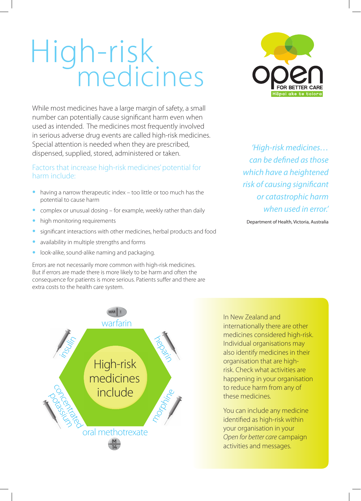## High-risk medicines

While most medicines have a large margin of safety, a small number can potentially cause significant harm even when used as intended. The medicines most frequently involved in serious adverse drug events are called high-risk medicines. Special attention is needed when they are prescribed, dispensed, supplied, stored, administered or taken.

## Factors that increase high-risk medicines' potential for harm include:

- having a narrow therapeutic index too little or too much has the potential to cause harm
- complex or unusual dosing for example, weekly rather than daily
- high monitoring requirements
- significant interactions with other medicines, herbal products and food
- availability in multiple strengths and forms
- look-alike, sound-alike naming and packaging.

Errors are not necessarily more common with high-risk medicines. But if errors are made there is more likely to be harm and often the consequence for patients is more serious. Patients suffer and there are extra costs to the health care system.



*'High-risk medicines… can be defined as those which have a heightened risk of causing significant or catastrophic harm when used in error.'*

Department of Health, Victoria, Australia



In New Zealand and internationally there are other medicines considered high-risk. Individual organisations may also identify medicines in their organisation that are highrisk. Check what activities are happening in your organisation to reduce harm from any of these medicines.

You can include any medicine identified as high-risk within your organisation in your *Open for better care* campaign activities and messages.